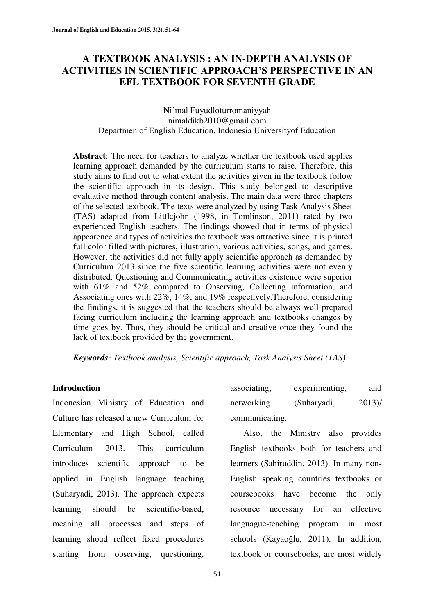## **A TEXTBOOK ANALYSIS : AN IN-DEPTH ANALYSIS OF ACTIVITIES IN SCIENTIFIC APPROACH'S PERSPECTIVE IN AN EFL TEXTBOOK FOR SEVENTH GRADE**

## Ni'mal Fuyudloturromaniyyah nimaldikb2010@gmail.com Departmen of English Education, Indonesia Universityof Education

**Abstract**: The need for teachers to analyze whether the textbook used applies learning approach demanded by the curriculum starts to raise. Therefore, this study aims to find out to what extent the activities given in the textbook follow the scientific approach in its design. This study belonged to descriptive evaluative method through content analysis. The main data were three chapters of the selected textbook. The texts were analyzed by using Task Analysis Sheet (TAS) adapted from Littlejohn (1998, in Tomlinson, 2011) rated by two experienced English teachers. The findings showed that in terms of physical appearence and types of activities the textbook was attractive since it is printed full color filled with pictures, illustration, various activities, songs, and games. However, the activities did not fully apply scientific approach as demanded by Curriculum 2013 since the five scientific learning activities were not evenly distributed. Questioning and Communicating activities existence were superior with 61% and 52% compared to Observing, Collecting information, and Associating ones with 22%, 14%, and 19% respectively.Therefore, considering the findings, it is suggested that the teachers should be always well prepared facing curriculum including the learning approach and textbooks changes by time goes by. Thus, they should be critical and creative once they found the lack of textbook provided by the government.

*Keywords: Textbook analysis, Scientific approach, Task Analysis Sheet (TAS)* 

### **Introduction**

Indonesian Ministry of Education and Culture has released a new Curriculum for Elementary and High School, called Curriculum 2013. This curriculum introduces scientific approach to be applied in English language teaching (Suharyadi, 2013). The approach expects learning should be scientific-based, meaning all processes and steps of learning shoud reflect fixed procedures starting from observing, questioning,

| associating,   | experimenting, | and  |
|----------------|----------------|------|
| networking     | (Suharyadi,    | 2013 |
| communicating. |                |      |

Also, the Ministry also provides English textbooks both for teachers and learners (Sahiruddin, 2013). In many non-English speaking countries textbooks or coursebooks have become the only resource necessary for an effective languague-teaching program in most schools (Kayaoğlu, 2011). In addition, textbook or coursebooks, are most widely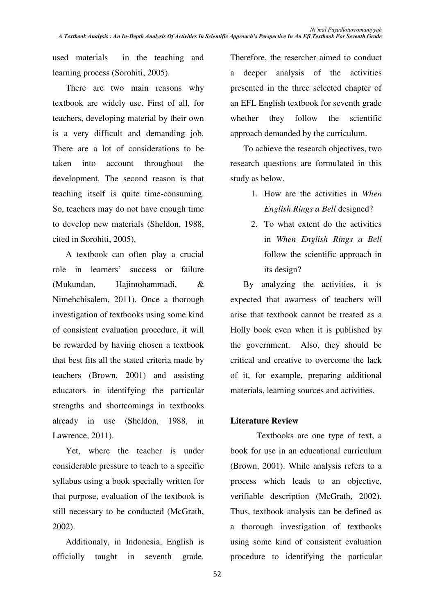used materials in the teaching and learning process (Sorohiti, 2005).

There are two main reasons why textbook are widely use. First of all, for teachers, developing material by their own is a very difficult and demanding job. There are a lot of considerations to be taken into account throughout the development. The second reason is that teaching itself is quite time-consuming. So, teachers may do not have enough time to develop new materials (Sheldon, 1988, cited in Sorohiti, 2005).

A textbook can often play a crucial role in learners' success or failure (Mukundan, Hajimohammadi, & Nimehchisalem, 2011). Once a thorough investigation of textbooks using some kind of consistent evaluation procedure, it will be rewarded by having chosen a textbook that best fits all the stated criteria made by teachers (Brown, 2001) and assisting educators in identifying the particular strengths and shortcomings in textbooks already in use (Sheldon, 1988, in Lawrence, 2011).

Yet, where the teacher is under considerable pressure to teach to a specific syllabus using a book specially written for that purpose, evaluation of the textbook is still necessary to be conducted (McGrath, 2002).

Additionaly, in Indonesia, English is officially taught in seventh grade. Therefore, the resercher aimed to conduct a deeper analysis of the activities presented in the three selected chapter of an EFL English textbook for seventh grade whether they follow the scientific approach demanded by the curriculum.

To achieve the research objectives, two research questions are formulated in this study as below.

- 1. How are the activities in *When English Rings a Bell* designed?
- 2. To what extent do the activities in *When English Rings a Bell*  follow the scientific approach in its design?

 By analyzing the activities, it is expected that awarness of teachers will arise that textbook cannot be treated as a Holly book even when it is published by the government. Also, they should be critical and creative to overcome the lack of it, for example, preparing additional materials, learning sources and activities.

## **Literature Review**

Textbooks are one type of text, a book for use in an educational curriculum (Brown, 2001). While analysis refers to a process which leads to an objective, verifiable description (McGrath, 2002). Thus, textbook analysis can be defined as a thorough investigation of textbooks using some kind of consistent evaluation procedure to identifying the particular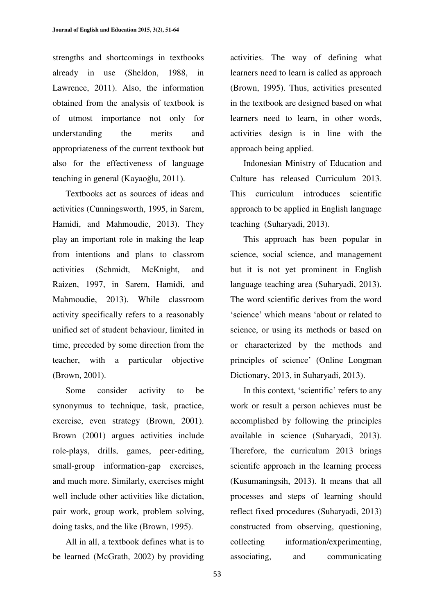strengths and shortcomings in textbooks already in use (Sheldon, 1988, in Lawrence, 2011). Also, the information obtained from the analysis of textbook is of utmost importance not only for understanding the merits and appropriateness of the current textbook but also for the effectiveness of language teaching in general (Kayaoğlu, 2011).

 Textbooks act as sources of ideas and activities (Cunningsworth, 1995, in Sarem, Hamidi, and Mahmoudie, 2013). They play an important role in making the leap from intentions and plans to classrom activities (Schmidt, McKnight, and Raizen, 1997, in Sarem, Hamidi, and Mahmoudie, 2013). While classroom activity specifically refers to a reasonably unified set of student behaviour, limited in time, preceded by some direction from the teacher, with a particular objective (Brown, 2001).

 Some consider activity to be synonymus to technique, task, practice, exercise, even strategy (Brown, 2001). Brown (2001) argues activities include role-plays, drills, games, peer-editing, small-group information-gap exercises, and much more. Similarly, exercises might well include other activities like dictation, pair work, group work, problem solving, doing tasks, and the like (Brown, 1995).

 All in all, a textbook defines what is to be learned (McGrath, 2002) by providing activities. The way of defining what learners need to learn is called as approach (Brown, 1995). Thus, activities presented in the textbook are designed based on what learners need to learn, in other words, activities design is in line with the approach being applied.

 Indonesian Ministry of Education and Culture has released Curriculum 2013. This curriculum introduces scientific approach to be applied in English language teaching (Suharyadi, 2013).

This approach has been popular in science, social science, and management but it is not yet prominent in English language teaching area (Suharyadi, 2013). The word scientific derives from the word 'science' which means 'about or related to science, or using its methods or based on or characterized by the methods and principles of science' (Online Longman Dictionary, 2013, in Suharyadi, 2013).

In this context, 'scientific' refers to any work or result a person achieves must be accomplished by following the principles available in science (Suharyadi, 2013). Therefore, the curriculum 2013 brings scientifc approach in the learning process (Kusumaningsih, 2013). It means that all processes and steps of learning should reflect fixed procedures (Suharyadi, 2013) constructed from observing, questioning, collecting information/experimenting, associating, and communicating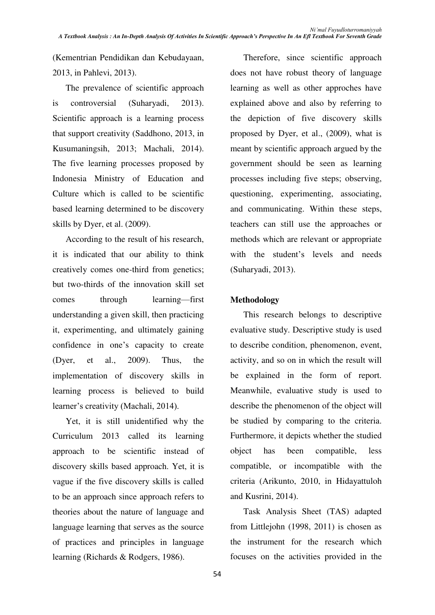(Kementrian Pendidikan dan Kebudayaan, 2013, in Pahlevi, 2013).

The prevalence of scientific approach is controversial (Suharyadi, 2013). Scientific approach is a learning process that support creativity (Saddhono, 2013, in Kusumaningsih, 2013; Machali, 2014). The five learning processes proposed by Indonesia Ministry of Education and Culture which is called to be scientific based learning determined to be discovery skills by Dyer, et al. (2009).

According to the result of his research, it is indicated that our ability to think creatively comes one-third from genetics; but two-thirds of the innovation skill set comes through learning—first understanding a given skill, then practicing it, experimenting, and ultimately gaining confidence in one's capacity to create (Dyer, et al., 2009). Thus, the implementation of discovery skills in learning process is believed to build learner's creativity (Machali, 2014).

Yet, it is still unidentified why the Curriculum 2013 called its learning approach to be scientific instead of discovery skills based approach. Yet, it is vague if the five discovery skills is called to be an approach since approach refers to theories about the nature of language and language learning that serves as the source of practices and principles in language learning (Richards & Rodgers, 1986).

Therefore, since scientific approach does not have robust theory of language learning as well as other approches have explained above and also by referring to the depiction of five discovery skills proposed by Dyer, et al., (2009), what is meant by scientific approach argued by the government should be seen as learning processes including five steps; observing, questioning, experimenting, associating, and communicating. Within these steps, teachers can still use the approaches or methods which are relevant or appropriate with the student's levels and needs (Suharyadi, 2013).

## **Methodology**

This research belongs to descriptive evaluative study. Descriptive study is used to describe condition, phenomenon, event, activity, and so on in which the result will be explained in the form of report. Meanwhile, evaluative study is used to describe the phenomenon of the object will be studied by comparing to the criteria. Furthermore, it depicts whether the studied object has been compatible, less compatible, or incompatible with the criteria (Arikunto, 2010, in Hidayattuloh and Kusrini, 2014).

Task Analysis Sheet (TAS) adapted from Littlejohn (1998, 2011) is chosen as the instrument for the research which focuses on the activities provided in the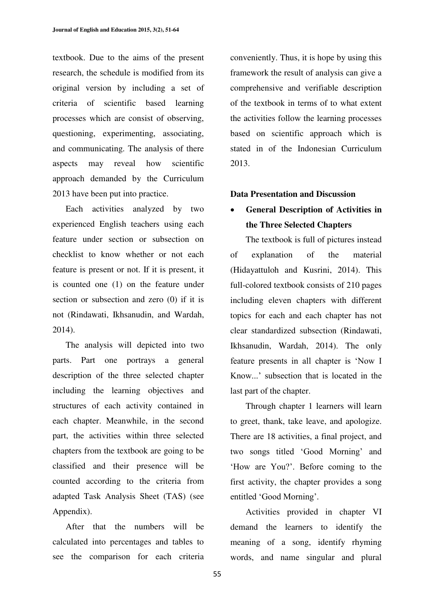textbook. Due to the aims of the present research, the schedule is modified from its original version by including a set of criteria of scientific based learning processes which are consist of observing, questioning, experimenting, associating, and communicating. The analysis of there aspects may reveal how scientific approach demanded by the Curriculum 2013 have been put into practice.

Each activities analyzed by two experienced English teachers using each feature under section or subsection on checklist to know whether or not each feature is present or not. If it is present, it is counted one (1) on the feature under section or subsection and zero (0) if it is not (Rindawati, Ikhsanudin, and Wardah, 2014).

The analysis will depicted into two parts. Part one portrays a general description of the three selected chapter including the learning objectives and structures of each activity contained in each chapter. Meanwhile, in the second part, the activities within three selected chapters from the textbook are going to be classified and their presence will be counted according to the criteria from adapted Task Analysis Sheet (TAS) (see Appendix).

After that the numbers will be calculated into percentages and tables to see the comparison for each criteria conveniently. Thus, it is hope by using this framework the result of analysis can give a comprehensive and verifiable description of the textbook in terms of to what extent the activities follow the learning processes based on scientific approach which is stated in of the Indonesian Curriculum 2013.

#### **Data Presentation and Discussion**

## x **General Description of Activities in the Three Selected Chapters**

The textbook is full of pictures instead of explanation of the material (Hidayattuloh and Kusrini, 2014). This full-colored textbook consists of 210 pages including eleven chapters with different topics for each and each chapter has not clear standardized subsection (Rindawati, Ikhsanudin, Wardah, 2014). The only feature presents in all chapter is 'Now I Know...' subsection that is located in the last part of the chapter.

Through chapter 1 learners will learn to greet, thank, take leave, and apologize. There are 18 activities, a final project, and two songs titled 'Good Morning' and 'How are You?'. Before coming to the first activity, the chapter provides a song entitled 'Good Morning'.

Activities provided in chapter VI demand the learners to identify the meaning of a song, identify rhyming words, and name singular and plural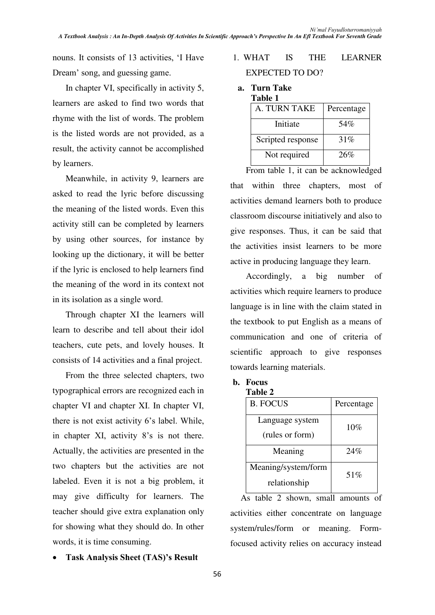nouns. It consists of 13 activities, 'I Have Dream' song, and guessing game.

In chapter VI, specifically in activity 5, learners are asked to find two words that rhyme with the list of words. The problem is the listed words are not provided, as a result, the activity cannot be accomplished by learners.

Meanwhile, in activity 9, learners are asked to read the lyric before discussing the meaning of the listed words. Even this activity still can be completed by learners by using other sources, for instance by looking up the dictionary, it will be better if the lyric is enclosed to help learners find the meaning of the word in its context not in its isolation as a single word.

Through chapter XI the learners will learn to describe and tell about their idol teachers, cute pets, and lovely houses. It consists of 14 activities and a final project.

From the three selected chapters, two typographical errors are recognized each in chapter VI and chapter XI. In chapter VI, there is not exist activity 6's label. While, in chapter XI, activity  $8$ 's is not there. Actually, the activities are presented in the two chapters but the activities are not labeled. Even it is not a big problem, it may give difficulty for learners. The teacher should give extra explanation only for showing what they should do. In other words, it is time consuming.

**Task Analysis Sheet (TAS)'s Result** 

## 1. WHAT IS THE LEARNER EXPECTED TO DO?

# **a. Turn Take Table 1**

| A. TURN TAKE      | Percentage |
|-------------------|------------|
| Initiate          | 54%        |
| Scripted response | 31%        |
| Not required      | 26%        |

 From table 1, it can be acknowledged that within three chapters, most of activities demand learners both to produce classroom discourse initiatively and also to give responses. Thus, it can be said that the activities insist learners to be more active in producing language they learn.

 Accordingly, a big number of activities which require learners to produce language is in line with the claim stated in the textbook to put English as a means of communication and one of criteria of scientific approach to give responses towards learning materials.

## **b. Focus**

| <b>Table 2</b>      |            |
|---------------------|------------|
| <b>B. FOCUS</b>     | Percentage |
| Language system     | $10\%$     |
| (rules or form)     |            |
| Meaning             | 24%        |
| Meaning/system/form | 51%        |
| relationship        |            |

As table 2 shown, small amounts of activities either concentrate on language system/rules/form or meaning. Formfocused activity relies on accuracy instead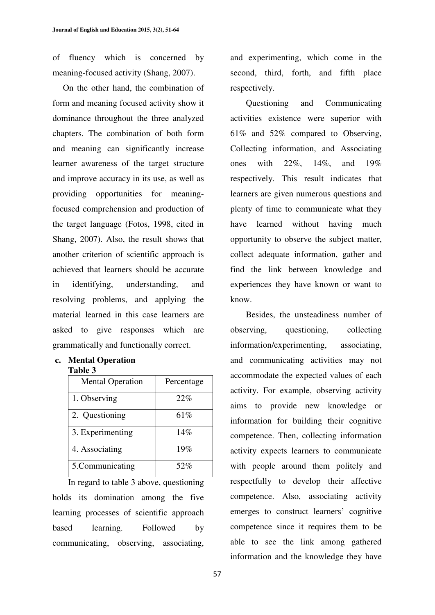of fluency which is concerned by meaning-focused activity (Shang, 2007).

On the other hand, the combination of form and meaning focused activity show it dominance throughout the three analyzed chapters. The combination of both form and meaning can significantly increase learner awareness of the target structure and improve accuracy in its use, as well as providing opportunities for meaningfocused comprehension and production of the target language (Fotos, 1998, cited in Shang, 2007). Also, the result shows that another criterion of scientific approach is achieved that learners should be accurate in identifying, understanding, and resolving problems, and applying the material learned in this case learners are asked to give responses which are grammatically and functionally correct.

#### **c. Mental Operation Table 3**

| <b>Mental Operation</b> | Percentage |
|-------------------------|------------|
| 1. Observing            | 22%        |
| 2. Questioning          | 61\%       |
| 3. Experimenting        | 14%        |
| 4. Associating          | 19%        |
| 5. Communicating        | 52%        |

In regard to table 3 above, questioning holds its domination among the five learning processes of scientific approach based learning. Followed by communicating, observing, associating,

and experimenting, which come in the second, third, forth, and fifth place respectively.

Questioning and Communicating activities existence were superior with 61% and 52% compared to Observing, Collecting information, and Associating ones with 22%, 14%, and 19% respectively. This result indicates that learners are given numerous questions and plenty of time to communicate what they have learned without having much opportunity to observe the subject matter, collect adequate information, gather and find the link between knowledge and experiences they have known or want to know.

Besides, the unsteadiness number of observing, questioning, collecting information/experimenting, associating, and communicating activities may not accommodate the expected values of each activity. For example, observing activity aims to provide new knowledge or information for building their cognitive competence. Then, collecting information activity expects learners to communicate with people around them politely and respectfully to develop their affective competence. Also, associating activity emerges to construct learners' cognitive competence since it requires them to be able to see the link among gathered information and the knowledge they have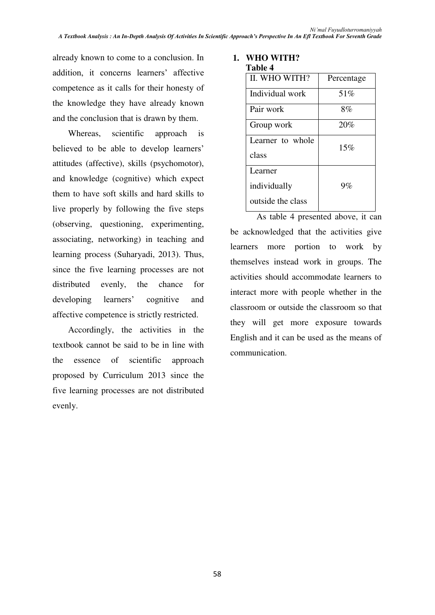already known to come to a conclusion. In addition, it concerns learners' affective competence as it calls for their honesty of the knowledge they have already known and the conclusion that is drawn by them.

Whereas, scientific approach is believed to be able to develop learners' attitudes (affective), skills (psychomotor), and knowledge (cognitive) which expect them to have soft skills and hard skills to live properly by following the five steps (observing, questioning, experimenting, associating, networking) in teaching and learning process (Suharyadi, 2013). Thus, since the five learning processes are not distributed evenly, the chance for developing learners' cognitive and affective competence is strictly restricted.

Accordingly, the activities in the textbook cannot be said to be in line with the essence of scientific approach proposed by Curriculum 2013 since the five learning processes are not distributed evenly.

#### **1. WHO WITH? Table 4**

| тате 4            |            |
|-------------------|------------|
| II. WHO WITH?     | Percentage |
| Individual work   | 51%        |
| Pair work         | 8%         |
| Group work        | 20%        |
| Learner to whole  | 15%        |
| class             |            |
| Learner           |            |
| individually      | 9%         |
| outside the class |            |
|                   |            |

As table 4 presented above, it can be acknowledged that the activities give learners more portion to work by themselves instead work in groups. The activities should accommodate learners to interact more with people whether in the classroom or outside the classroom so that they will get more exposure towards English and it can be used as the means of communication.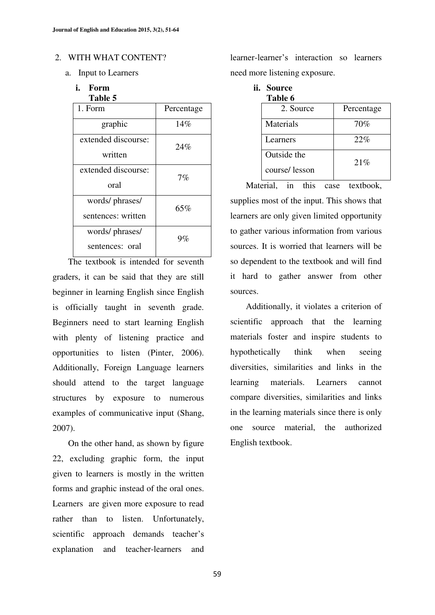#### 2. WITH WHAT CONTENT?

- a. Input to Learners
	- **i. Form Table 5**

| Percentage |
|------------|
| 14%        |
| 24%        |
|            |
| 7%         |
|            |
| 65%        |
|            |
| $9\%$      |
|            |
|            |

The textbook is intended for seventh graders, it can be said that they are still beginner in learning English since English is officially taught in seventh grade. Beginners need to start learning English with plenty of listening practice and opportunities to listen (Pinter, 2006). Additionally, Foreign Language learners should attend to the target language structures by exposure to numerous examples of communicative input (Shang, 2007).

On the other hand, as shown by figure 22, excluding graphic form, the input given to learners is mostly in the written forms and graphic instead of the oral ones. Learners are given more exposure to read rather than to listen. Unfortunately, scientific approach demands teacher's explanation and teacher-learners and learner-learner's interaction so learners need more listening exposure.

**ii. Source Table 6** 2. Source Percentage Materials 70% Learners 22% Outside the course/ lesson 21%

Material, in this case textbook, supplies most of the input. This shows that learners are only given limited opportunity to gather various information from various sources. It is worried that learners will be so dependent to the textbook and will find it hard to gather answer from other sources.

Additionally, it violates a criterion of scientific approach that the learning materials foster and inspire students to hypothetically think when seeing diversities, similarities and links in the learning materials. Learners cannot compare diversities, similarities and links in the learning materials since there is only one source material, the authorized English textbook.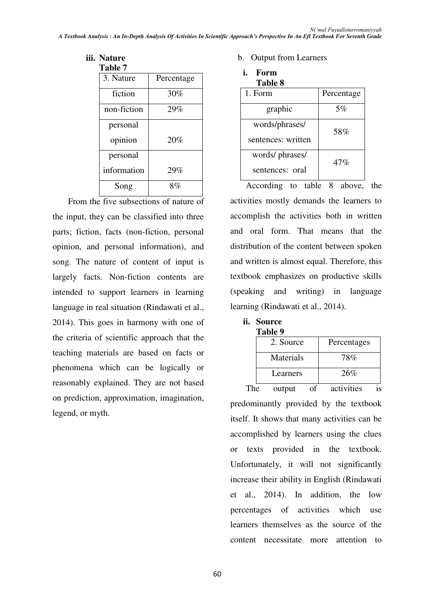# **iii. Nature**

| <b>Table 7</b> |            |
|----------------|------------|
| 3. Nature      | Percentage |
| fiction        | 30%        |
| non-fiction    | 29%        |
| personal       |            |
| opinion        | 20%        |
| personal       |            |
| information    | 29%        |
| Song           | $8\%$      |

From the five subsections of nature of the input, they can be classified into three parts; fiction, facts (non-fiction, personal opinion, and personal information), and song. The nature of content of input is largely facts. Non-fiction contents are intended to support learners in learning language in real situation (Rindawati et al., 2014). This goes in harmony with one of the criteria of scientific approach that the teaching materials are based on facts or phenomena which can be logically or reasonably explained. They are not based on prediction, approximation, imagination, legend, or myth.

### b. Output from Learners

| ı. | Form    |  |
|----|---------|--|
|    | Table 8 |  |

| 1. Form            | Percentage |
|--------------------|------------|
| graphic            | 5%         |
| words/phrases/     | 58%        |
| sentences: written |            |
| words/ phrases/    | 47%        |
| sentences: oral    |            |

According to table  $\overline{8}$  above, the activities mostly demands the learners to accomplish the activities both in written and oral form. That means that the distribution of the content between spoken and written is almost equal. Therefore, this textbook emphasizes on productive skills (speaking and writing) in language learning (Rindawati et al., 2014).

| <br><b>Source</b> |  |
|-------------------|--|
| Tabla O           |  |

| таніс 7   |             |
|-----------|-------------|
| 2. Source | Percentages |
| Materials | 78%         |
| Learners  | 26%         |

The output of activities is predominantly provided by the textbook itself. It shows that many activities can be accomplished by learners using the clues or texts provided in the textbook. Unfortunately, it will not significantly increase their ability in English (Rindawati et al., 2014). In addition, the low percentages of activities which use learners themselves as the source of the content necessitate more attention to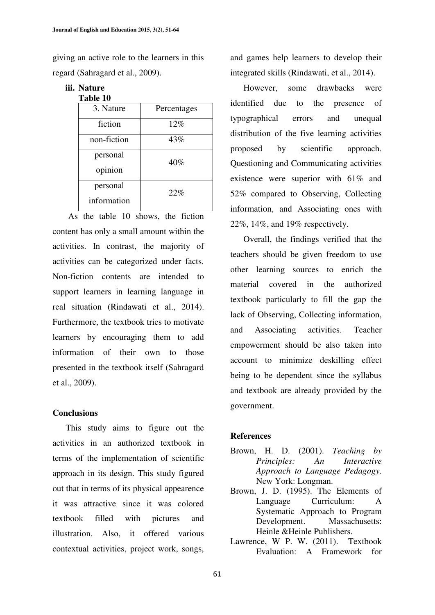giving an active role to the learners in this regard (Sahragard et al., 2009).

#### **iii. Nature Table 10**

| Percentages |
|-------------|
| 12%         |
| 43%         |
| 40%         |
|             |
| 22%         |
|             |
|             |

As the table 10 shows, the fiction content has only a small amount within the activities. In contrast, the majority of activities can be categorized under facts. Non-fiction contents are intended to support learners in learning language in real situation (Rindawati et al., 2014). Furthermore, the textbook tries to motivate learners by encouraging them to add information of their own to those presented in the textbook itself (Sahragard et al., 2009).

## **Conclusions**

This study aims to figure out the activities in an authorized textbook in terms of the implementation of scientific approach in its design. This study figured out that in terms of its physical appearence it was attractive since it was colored textbook filled with pictures and illustration. Also, it offered various contextual activities, project work, songs, and games help learners to develop their integrated skills (Rindawati, et al., 2014).

 However, some drawbacks were identified due to the presence of typographical errors and unequal distribution of the five learning activities proposed by scientific approach. Questioning and Communicating activities existence were superior with 61% and 52% compared to Observing, Collecting information, and Associating ones with 22%, 14%, and 19% respectively.

 Overall, the findings verified that the teachers should be given freedom to use other learning sources to enrich the material covered in the authorized textbook particularly to fill the gap the lack of Observing, Collecting information, and Associating activities. Teacher empowerment should be also taken into account to minimize deskilling effect being to be dependent since the syllabus and textbook are already provided by the government.

## **References**

- Brown, H. D. (2001). *Teaching by Principles: An Interactive Approach to Language Pedagogy*. New York: Longman.
- Brown, J. D. (1995). The Elements of Language Curriculum: A Systematic Approach to Program Development. Massachusetts: Heinle &Heinle Publishers.
- Lawrence, W P. W. (2011). Textbook Evaluation: A Framework for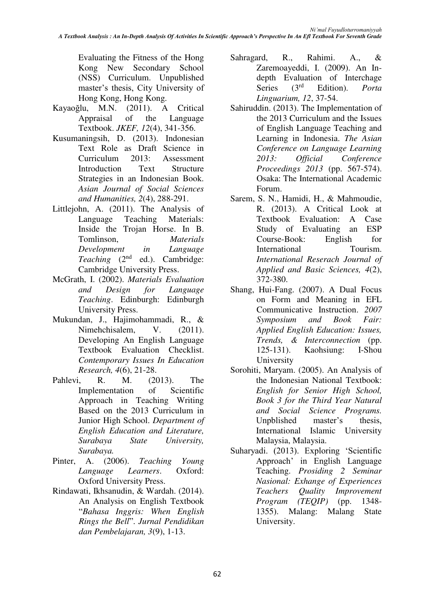Evaluating the Fitness of the Hong Kong New Secondary School (NSS) Curriculum. Unpublished master's thesis, City University of Hong Kong, Hong Kong.

- Kayaoğlu, M.N. (2011). A Critical Appraisal of the Language Textbook. *JKEF, 12*(4), 341-356.
- Kusumaningsih, D. (2013). Indonesian Text Role as Draft Science in Curriculum 2013: Assessment Introduction Text Structure Strategies in an Indonesian Book. *Asian Journal of Social Sciences and Humanities, 2*(4), 288-291.
- Littlejohn, A. (2011). The Analysis of Language Teaching Materials: Inside the Trojan Horse. In B. Tomlinson, *Materials Development in Language Teaching* (2<sup>nd</sup> ed.). Cambridge: Cambridge University Press.
- McGrath, I. (2002). *Materials Evaluation and Design for Language Teaching*. Edinburgh: Edinburgh University Press.
- Mukundan, J., Hajimohammadi, R., & Nimehchisalem, V. (2011). Developing An English Language Textbook Evaluation Checklist. *Contemporary Issues In Education Research, 4*(6), 21-28.
- Pahlevi, R. M. (2013). The Implementation of Scientific Approach in Teaching Writing Based on the 2013 Curriculum in Junior High School. *Department of English Education and Literature, Surabaya State University, Surabaya.*
- Pinter, A. (2006). *Teaching Young Language Learners*. Oxford: Oxford University Press.
- Rindawati, Ikhsanudin, & Wardah. (2014). An Analysis on English Textbook ³*Bahasa Inggris: When English Rings the Bell*". Jurnal Pendidikan *dan Pembelajaran, 3*(9), 1-13.
- Sahragard, R., Rahimi. A., & Zaremoayeddi, I. (2009). An Indepth Evaluation of Interchage<br>Series  $(3<sup>rd</sup>$  Edition). *Porta* Series (3rd Edition). *Porta Linguarium, 12*, 37-54.
- Sahiruddin. (2013). The Implementation of the 2013 Curriculum and the Issues of English Language Teaching and Learning in Indonesia. *The Asian Conference on Language Learning 2013: Official Conference Proceedings 2013* (pp. 567-574). Osaka: The International Academic Forum.
- Sarem, S. N., Hamidi, H., & Mahmoudie, R. (2013). A Critical Look at Textbook Evaluation: A Case Study of Evaluating an ESP Course-Book: English for International Tourism. *International Reserach Journal of Applied and Basic Sciences, 4*(2), 372-380.
- Shang, Hui-Fang. (2007). A Dual Focus on Form and Meaning in EFL Communicative Instruction. *2007 Symposium and Book Fair: Applied English Education: Issues, Trends, & Interconnection* (pp. 125-131). Kaohsiung: I-Shou University
- Sorohiti, Maryam. (2005). An Analysis of the Indonesian National Textbook: *English for Senior High School, Book 3 for the Third Year Natural and Social Science Programs.*  Unpolished master's thesis, International Islamic University Malaysia, Malaysia.
- Suharyadi. (2013). Exploring 'Scientific Approach' in English Language Teaching. *Prosiding 2 Seminar Nasional: Exhange of Experiences Teachers Quality Improvement Program (TEQIP)* (pp. 1348- 1355). Malang: Malang State University.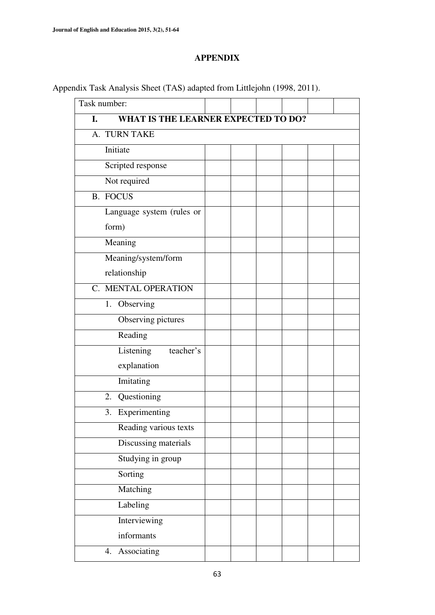## **APPENDIX**

| Task number:                              |  |  |  |
|-------------------------------------------|--|--|--|
| WHAT IS THE LEARNER EXPECTED TO DO?<br>I. |  |  |  |
| A. TURN TAKE                              |  |  |  |
| Initiate                                  |  |  |  |
| Scripted response                         |  |  |  |
| Not required                              |  |  |  |
| <b>B.</b> FOCUS                           |  |  |  |
| Language system (rules or                 |  |  |  |
| form)                                     |  |  |  |
| Meaning                                   |  |  |  |
| Meaning/system/form                       |  |  |  |
| relationship                              |  |  |  |
| C. MENTAL OPERATION                       |  |  |  |
| Observing<br>1.                           |  |  |  |
| Observing pictures                        |  |  |  |
| Reading                                   |  |  |  |
| Listening<br>teacher's                    |  |  |  |
| explanation                               |  |  |  |
| Imitating                                 |  |  |  |
| 2. Questioning                            |  |  |  |
| Experimenting<br>3.                       |  |  |  |
| Reading various texts                     |  |  |  |
| Discussing materials                      |  |  |  |
| Studying in group                         |  |  |  |
| Sorting                                   |  |  |  |
| Matching                                  |  |  |  |
| Labeling                                  |  |  |  |
| <b>Interviewing</b>                       |  |  |  |
| informants                                |  |  |  |
| Associating<br>4.                         |  |  |  |
|                                           |  |  |  |

Appendix Task Analysis Sheet (TAS) adapted from Littlejohn (1998, 2011).